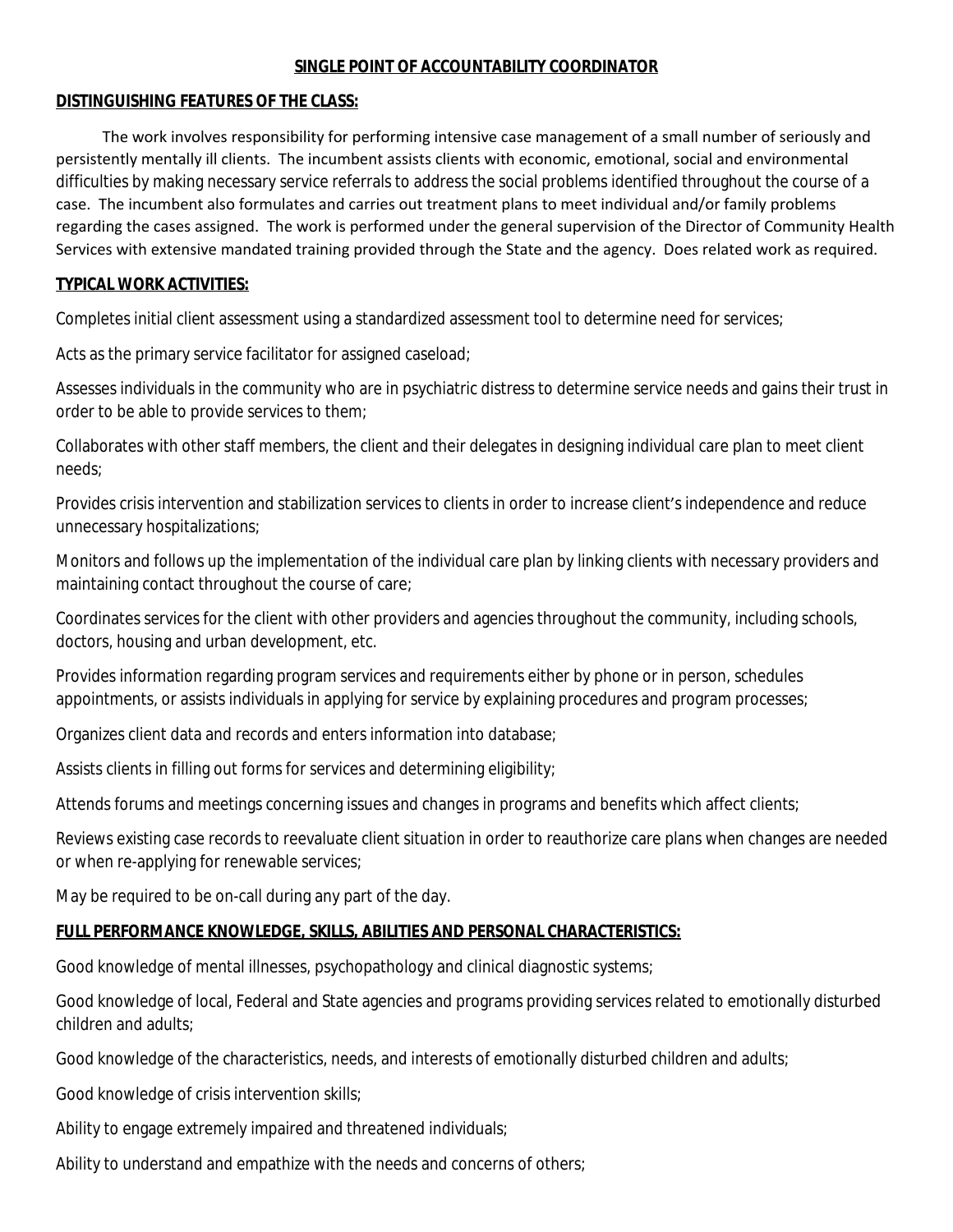### **SINGLE POINT OF ACCOUNTABILITY COORDINATOR**

#### **DISTINGUISHING FEATURES OF THE CLASS:**

 The work involves responsibility for performing intensive case management of a small number of seriously and persistently mentally ill clients. The incumbent assists clients with economic, emotional, social and environmental difficulties by making necessary service referrals to address the social problems identified throughout the course of a case. The incumbent also formulates and carries out treatment plans to meet individual and/or family problems regarding the cases assigned. The work is performed under the general supervision of the Director of Community Health Services with extensive mandated training provided through the State and the agency. Does related work as required.

### **TYPICAL WORK ACTIVITIES:**

Completes initial client assessment using a standardized assessment tool to determine need for services;

Acts as the primary service facilitator for assigned caseload;

Assesses individuals in the community who are in psychiatric distress to determine service needs and gains their trust in order to be able to provide services to them;

Collaborates with other staff members, the client and their delegates in designing individual care plan to meet client needs;

Provides crisis intervention and stabilization services to clients in order to increase client's independence and reduce unnecessary hospitalizations;

Monitors and follows up the implementation of the individual care plan by linking clients with necessary providers and maintaining contact throughout the course of care;

Coordinates services for the client with other providers and agencies throughout the community, including schools, doctors, housing and urban development, etc.

Provides information regarding program services and requirements either by phone or in person, schedules appointments, or assists individuals in applying for service by explaining procedures and program processes;

Organizes client data and records and enters information into database;

Assists clients in filling out forms for services and determining eligibility;

Attends forums and meetings concerning issues and changes in programs and benefits which affect clients;

Reviews existing case records to reevaluate client situation in order to reauthorize care plans when changes are needed or when re-applying for renewable services;

May be required to be on-call during any part of the day.

## **FULL PERFORMANCE KNOWLEDGE, SKILLS, ABILITIES AND PERSONAL CHARACTERISTICS:**

Good knowledge of mental illnesses, psychopathology and clinical diagnostic systems;

Good knowledge of local, Federal and State agencies and programs providing services related to emotionally disturbed children and adults;

Good knowledge of the characteristics, needs, and interests of emotionally disturbed children and adults;

Good knowledge of crisis intervention skills;

Ability to engage extremely impaired and threatened individuals;

Ability to understand and empathize with the needs and concerns of others;